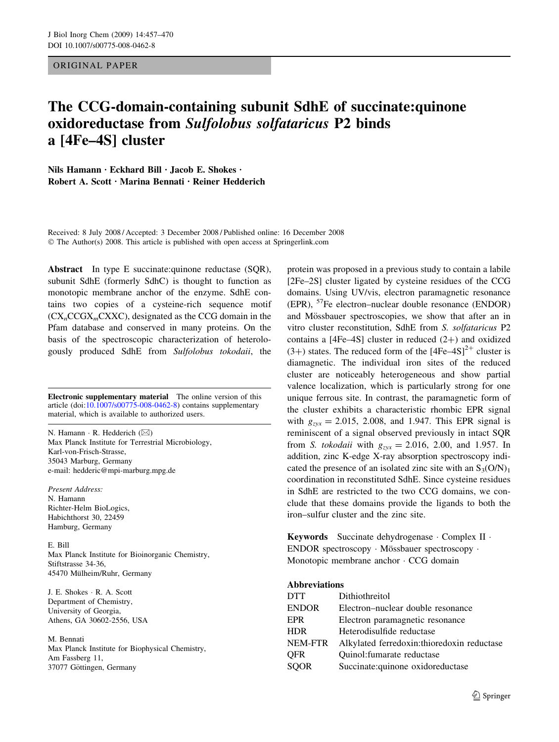### ORIGINAL PAPER

# The CCG-domain-containing subunit SdhE of succinate:quinone oxidoreductase from Sulfolobus solfataricus P2 binds a [4Fe–4S] cluster

Nils Hamann · Eckhard Bill · Jacob E. Shokes ·  $Rohert A. Scott \cdot Marina$  Bennati  $\cdot$  Reiner Hedderich

Received: 8 July 2008 / Accepted: 3 December 2008 / Published online: 16 December 2008  $\odot$  The Author(s) 2008. This article is published with open access at Springerlink.com

Abstract In type E succinate: quinone reductase (SQR), subunit SdhE (formerly SdhC) is thought to function as monotopic membrane anchor of the enzyme. SdhE contains two copies of a cysteine-rich sequence motif  $(CX<sub>n</sub>CCGX<sub>m</sub>CXXC)$ , designated as the CCG domain in the Pfam database and conserved in many proteins. On the basis of the spectroscopic characterization of heterologously produced SdhE from Sulfolobus tokodaii, the

Electronic supplementary material The online version of this article (doi:[10.1007/s00775-008-0462-8\)](http://dx.doi.org/10.1007/s00775-008-0462-8) contains supplementary material, which is available to authorized users.

N. Hamann · R. Hedderich  $(\boxtimes)$ Max Planck Institute for Terrestrial Microbiology, Karl-von-Frisch-Strasse, 35043 Marburg, Germany e-mail: hedderic@mpi-marburg.mpg.de

Present Address:

N. Hamann Richter-Helm BioLogics, Habichthorst 30, 22459 Hamburg, Germany

E. Bill

Max Planck Institute for Bioinorganic Chemistry, Stiftstrasse 34-36, 45470 Mülheim/Ruhr, Germany

J. E. Shokes · R. A. Scott Department of Chemistry, University of Georgia, Athens, GA 30602-2556, USA

#### M. Bennati

Max Planck Institute for Biophysical Chemistry, Am Fassberg 11, 37077 Göttingen, Germany

protein was proposed in a previous study to contain a labile [2Fe–2S] cluster ligated by cysteine residues of the CCG domains. Using UV/vis, electron paramagnetic resonance (EPR), 57Fe electron–nuclear double resonance (ENDOR) and Mössbauer spectroscopies, we show that after an in vitro cluster reconstitution, SdhE from S. solfataricus P2 contains a  $[4Fe-4S]$  cluster in reduced  $(2+)$  and oxidized (3+) states. The reduced form of the  $[4Fe-4S]<sup>2+</sup>$  cluster is diamagnetic. The individual iron sites of the reduced cluster are noticeably heterogeneous and show partial valence localization, which is particularly strong for one unique ferrous site. In contrast, the paramagnetic form of the cluster exhibits a characteristic rhombic EPR signal with  $g_{zxx} = 2.015, 2.008,$  and 1.947. This EPR signal is reminiscent of a signal observed previously in intact SQR from S. tokodaii with  $g_{zyx} = 2.016, 2.00,$  and 1.957. In addition, zinc K-edge X-ray absorption spectroscopy indicated the presence of an isolated zinc site with an  $S_3(O/N)_1$ coordination in reconstituted SdhE. Since cysteine residues in SdhE are restricted to the two CCG domains, we conclude that these domains provide the ligands to both the iron–sulfur cluster and the zinc site.

Keywords Succinate dehydrogenase · Complex II · ENDOR spectroscopy · Mössbauer spectroscopy · Monotopic membrane anchor  $\cdot$  CCG domain

### Abbreviations

| <b>DTT</b>   | Dithiothreitol                             |
|--------------|--------------------------------------------|
| <b>ENDOR</b> | Electron–nuclear double resonance          |
| EPR          | Electron paramagnetic resonance            |
| HDR.         | Heterodisulfide reductase                  |
| NEM-FTR      | Alkylated ferredoxin:thioredoxin reductase |
| OFR          | Quinol: fumarate reductase                 |
| <b>SOOR</b>  | Succinate: quinone oxidoreductase          |
|              |                                            |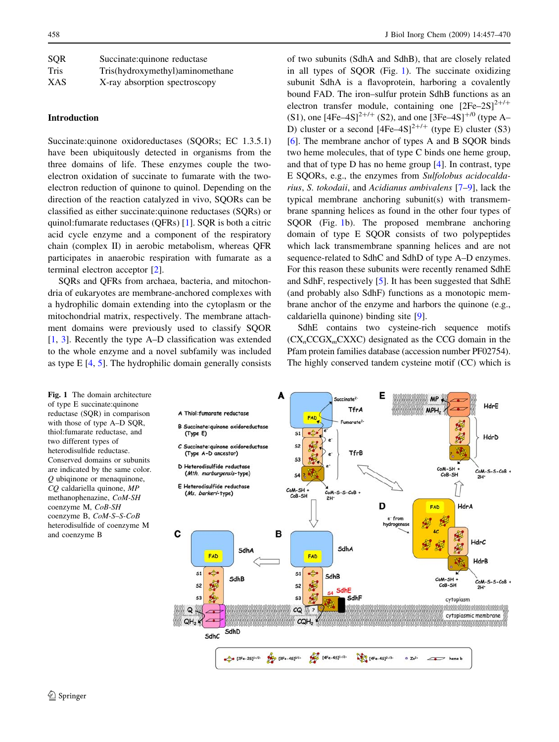<span id="page-1-0"></span>

| <b>SOR</b> | Succinate: quinone reductase    |
|------------|---------------------------------|
| Tris       | Tris(hydroxymethyl)aminomethane |
| <b>XAS</b> | X-ray absorption spectroscopy   |

### Introduction

Succinate:quinone oxidoreductases (SQORs; EC 1.3.5.1) have been ubiquitously detected in organisms from the three domains of life. These enzymes couple the twoelectron oxidation of succinate to fumarate with the twoelectron reduction of quinone to quinol. Depending on the direction of the reaction catalyzed in vivo, SQORs can be classified as either succinate:quinone reductases (SQRs) or quinol:fumarate reductases (QFRs) [\[1](#page-12-0)]. SQR is both a citric acid cycle enzyme and a component of the respiratory chain (complex II) in aerobic metabolism, whereas QFR participates in anaerobic respiration with fumarate as a terminal electron acceptor [\[2](#page-12-0)].

SQRs and QFRs from archaea, bacteria, and mitochondria of eukaryotes are membrane-anchored complexes with a hydrophilic domain extending into the cytoplasm or the mitochondrial matrix, respectively. The membrane attachment domains were previously used to classify SQOR [\[1](#page-12-0), [3](#page-12-0)]. Recently the type A–D classification was extended to the whole enzyme and a novel subfamily was included as type E [\[4](#page-12-0), [5](#page-12-0)]. The hydrophilic domain generally consists of two subunits (SdhA and SdhB), that are closely related in all types of SQOR (Fig. 1). The succinate oxidizing subunit SdhA is a flavoprotein, harboring a covalently bound FAD. The iron–sulfur protein SdhB functions as an electron transfer module, containing one  $[2Fe-2S]^{2+/+}$ (S1), one  $[4Fe-4S]^{2+/+}$  (S2), and one  $[3Fe-4S]^{+/0}$  (type A– D) cluster or a second  $[4Fe-4S]^{2+/+}$  (type E) cluster (S3) [\[6](#page-12-0)]. The membrane anchor of types A and B SQOR binds two heme molecules, that of type C binds one heme group, and that of type D has no heme group [\[4](#page-12-0)]. In contrast, type E SQORs, e.g., the enzymes from Sulfolobus acidocaldarius, S. tokodaii, and Acidianus ambivalens [\[7–9](#page-12-0)], lack the typical membrane anchoring subunit(s) with transmembrane spanning helices as found in the other four types of SQOR (Fig. 1b). The proposed membrane anchoring domain of type E SQOR consists of two polypeptides which lack transmembrane spanning helices and are not sequence-related to SdhC and SdhD of type A–D enzymes. For this reason these subunits were recently renamed SdhE and SdhF, respectively [[5\]](#page-12-0). It has been suggested that SdhE (and probably also SdhF) functions as a monotopic membrane anchor of the enzyme and harbors the quinone (e.g., caldariella quinone) binding site [[9\]](#page-12-0).

SdhE contains two cysteine-rich sequence motifs  $(CX<sub>n</sub>CCGX<sub>m</sub>CXXC)$  designated as the CCG domain in the Pfam protein families database (accession number PF02754). The highly conserved tandem cysteine motif (CC) which is

Fig. 1 The domain architecture of type E succinate:quinone reductase (SQR) in comparison with those of type A–D SQR, thiol:fumarate reductase, and two different types of heterodisulfide reductase. Conserved domains or subunits are indicated by the same color. Q ubiqinone or menaquinone, CQ caldariella quinone, MP methanophenazine, CoM-SH coenzyme M, CoB-SH coenzyme B, CoM-S–S-CoB heterodisulfide of coenzyme M and coenzyme B

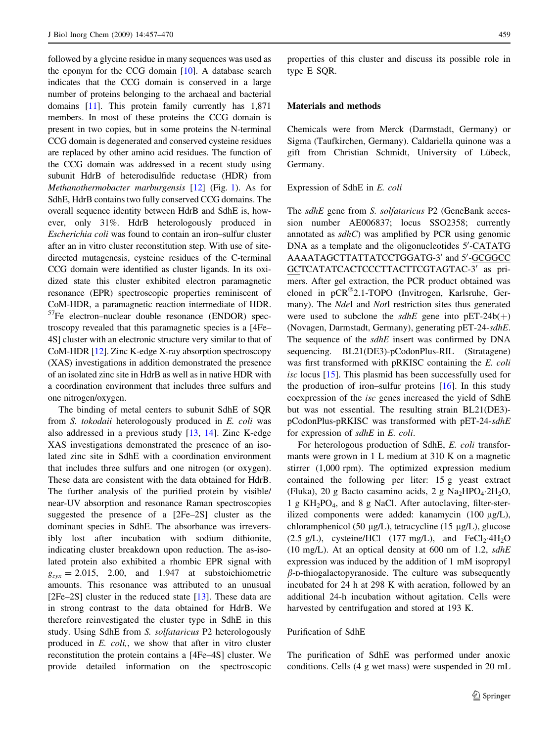followed by a glycine residue in many sequences was used as the eponym for the CCG domain [\[10](#page-12-0)]. A database search indicates that the CCG domain is conserved in a large number of proteins belonging to the archaeal and bacterial domains [\[11\]](#page-12-0). This protein family currently has 1,871 members. In most of these proteins the CCG domain is present in two copies, but in some proteins the N-terminal CCG domain is degenerated and conserved cysteine residues are replaced by other amino acid residues. The function of the CCG domain was addressed in a recent study using subunit HdrB of heterodisulfide reductase (HDR) from Methanothermobacter marburgensis [[12\]](#page-12-0) (Fig. [1\)](#page-1-0). As for SdhE, HdrB contains two fully conserved CCG domains. The overall sequence identity between HdrB and SdhE is, however, only 31%. HdrB heterologously produced in Escherichia coli was found to contain an iron–sulfur cluster after an in vitro cluster reconstitution step. With use of sitedirected mutagenesis, cysteine residues of the C-terminal CCG domain were identified as cluster ligands. In its oxidized state this cluster exhibited electron paramagnetic resonance (EPR) spectroscopic properties reminiscent of CoM-HDR, a paramagnetic reaction intermediate of HDR. 57Fe electron–nuclear double resonance (ENDOR) spectroscopy revealed that this paramagnetic species is a [4Fe– 4S] cluster with an electronic structure very similar to that of CoM-HDR [[12](#page-12-0)]. Zinc K-edge X-ray absorption spectroscopy (XAS) investigations in addition demonstrated the presence of an isolated zinc site in HdrB as well as in native HDR with a coordination environment that includes three sulfurs and one nitrogen/oxygen.

The binding of metal centers to subunit SdhE of SQR from S. tokodaii heterologously produced in E. coli was also addressed in a previous study [\[13](#page-12-0), [14\]](#page-12-0). Zinc K-edge XAS investigations demonstrated the presence of an isolated zinc site in SdhE with a coordination environment that includes three sulfurs and one nitrogen (or oxygen). These data are consistent with the data obtained for HdrB. The further analysis of the purified protein by visible/ near-UV absorption and resonance Raman spectroscopies suggested the presence of a [2Fe–2S] cluster as the dominant species in SdhE. The absorbance was irreversibly lost after incubation with sodium dithionite, indicating cluster breakdown upon reduction. The as-isolated protein also exhibited a rhombic EPR signal with  $g_{zyx} = 2.015$ , 2.00, and 1.947 at substoichiometric amounts. This resonance was attributed to an unusual [2Fe–2S] cluster in the reduced state [[13\]](#page-12-0). These data are in strong contrast to the data obtained for HdrB. We therefore reinvestigated the cluster type in SdhE in this study. Using SdhE from S. solfataricus P2 heterologously produced in E. coli,, we show that after in vitro cluster reconstitution the protein contains a [4Fe–4S] cluster. We provide detailed information on the spectroscopic properties of this cluster and discuss its possible role in type E SQR.

### Materials and methods

Chemicals were from Merck (Darmstadt, Germany) or Sigma (Taufkirchen, Germany). Caldariella quinone was a gift from Christian Schmidt, University of Lübeck, Germany.

Expression of SdhE in E. coli

The sdhE gene from S. solfataricus P2 (GeneBank accession number AE006837; locus SSO2358; currently annotated as  $sdhC$ ) was amplified by PCR using genomic DNA as a template and the oligonucleotides 5'-CATATG AAAATAGCTTATTATCCTGGATG-3' and 5'-GCGGCC GCTCATATCACTCCCTTACTTCGTAGTAC-3' as primers. After gel extraction, the PCR product obtained was cloned in pCR®2.1-TOPO (Invitrogen, Karlsruhe, Germany). The NdeI and NotI restriction sites thus generated were used to subclone the  $sdhE$  gene into  $pET-24b(+)$ (Novagen, Darmstadt, Germany), generating pET-24-sdhE. The sequence of the  $sdhE$  insert was confirmed by  $DNA$ sequencing. BL21(DE3)-pCodonPlus-RIL (Stratagene) was first transformed with pRKISC containing the E. coli isc locus [[15\]](#page-12-0). This plasmid has been successfully used for the production of iron–sulfur proteins  $[16]$  $[16]$ . In this study coexpression of the isc genes increased the yield of SdhE but was not essential. The resulting strain BL21(DE3) pCodonPlus-pRKISC was transformed with pET-24-sdhE for expression of sdhE in E. coli.

For heterologous production of SdhE, E. coli transformants were grown in 1 L medium at 310 K on a magnetic stirrer (1,000 rpm). The optimized expression medium contained the following per liter: 15 g yeast extract (Fluka), 20 g Bacto casamino acids, 2 g  $Na<sub>2</sub>HPO<sub>4</sub>·2H<sub>2</sub>O$ , 1 g KH2PO4, and 8 g NaCl. After autoclaving, filter-sterilized components were added: kanamycin  $(100 \mu g/L)$ , chloramphenicol (50  $\mu$ g/L), tetracycline (15  $\mu$ g/L), glucose  $(2.5 \text{ g/L})$ , cysteine/HCl  $(177 \text{ mg/L})$ , and FeCl<sub>2</sub>·4H<sub>2</sub>O (10 mg/L). At an optical density at 600 nm of 1.2,  $sdhE$ expression was induced by the addition of 1 mM isopropyl  $\beta$ -D-thiogalactopyranoside. The culture was subsequently incubated for 24 h at 298 K with aeration, followed by an additional 24-h incubation without agitation. Cells were harvested by centrifugation and stored at 193 K.

### Purification of SdhE

The purification of SdhE was performed under anoxic conditions. Cells (4 g wet mass) were suspended in 20 mL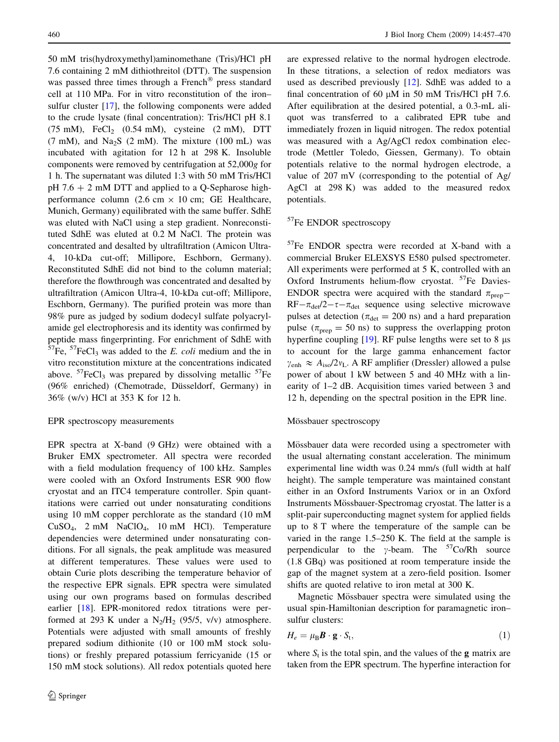50 mM tris(hydroxymethyl)aminomethane (Tris)/HCl pH 7.6 containing 2 mM dithiothreitol (DTT). The suspension was passed three times through a French® press standard cell at 110 MPa. For in vitro reconstitution of the iron– sulfur cluster [[17\]](#page-12-0), the following components were added to the crude lysate (final concentration): Tris/HCl pH 8.1  $(75 \text{ mM})$ , FeCl<sub>2</sub>  $(0.54 \text{ mM})$ , cysteine  $(2 \text{ mM})$ , DTT  $(7 \text{ mM})$ , and Na<sub>2</sub>S  $(2 \text{ mM})$ . The mixture  $(100 \text{ mL})$  was incubated with agitation for 12 h at 298 K. Insoluble components were removed by centrifugation at 52,000g for 1 h. The supernatant was diluted 1:3 with 50 mM Tris/HCl  $pH 7.6 + 2$  mM DTT and applied to a Q-Sepharose highperformance column (2.6 cm  $\times$  10 cm; GE Healthcare, Munich, Germany) equilibrated with the same buffer. SdhE was eluted with NaCl using a step gradient. Nonreconstituted SdhE was eluted at 0.2 M NaCl. The protein was concentrated and desalted by ultrafiltration (Amicon Ultra-4, 10-kDa cut-off; Millipore, Eschborn, Germany). Reconstituted SdhE did not bind to the column material; therefore the flowthrough was concentrated and desalted by ultrafiltration (Amicon Ultra-4, 10-kDa cut-off; Millipore, Eschborn, Germany). The purified protein was more than 98% pure as judged by sodium dodecyl sulfate polyacrylamide gel electrophoresis and its identity was confirmed by peptide mass fingerprinting. For enrichment of SdhE with  $57Fe$ ,  $57FeCl<sub>3</sub>$  was added to the E. coli medium and the in vitro reconstitution mixture at the concentrations indicated above.  $57$ FeCl<sub>3</sub> was prepared by dissolving metallic  $57$ Fe (96% enriched) (Chemotrade, Düsseldorf, Germany) in 36% (w/v) HCl at 353 K for 12 h.

#### EPR spectroscopy measurements

EPR spectra at X-band (9 GHz) were obtained with a Bruker EMX spectrometer. All spectra were recorded with a field modulation frequency of 100 kHz. Samples were cooled with an Oxford Instruments ESR 900 flow cryostat and an ITC4 temperature controller. Spin quantitations were carried out under nonsaturating conditions using 10 mM copper perchlorate as the standard (10 mM CuSO4, 2 mM NaClO4, 10 mM HCl). Temperature dependencies were determined under nonsaturating conditions. For all signals, the peak amplitude was measured at different temperatures. These values were used to obtain Curie plots describing the temperature behavior of the respective EPR signals. EPR spectra were simulated using our own programs based on formulas described earlier [\[18](#page-12-0)]. EPR-monitored redox titrations were performed at 293 K under a  $N_2/H_2$  (95/5, v/v) atmosphere. Potentials were adjusted with small amounts of freshly prepared sodium dithionite (10 or 100 mM stock solutions) or freshly prepared potassium ferricyanide (15 or 150 mM stock solutions). All redox potentials quoted here

are expressed relative to the normal hydrogen electrode. In these titrations, a selection of redox mediators was used as described previously [[12\]](#page-12-0). SdhE was added to a final concentration of 60  $\mu$ M in 50 mM Tris/HCl pH 7.6. After equilibration at the desired potential, a 0.3-mL aliquot was transferred to a calibrated EPR tube and immediately frozen in liquid nitrogen. The redox potential was measured with a Ag/AgCl redox combination electrode (Mettler Toledo, Giessen, Germany). To obtain potentials relative to the normal hydrogen electrode, a value of 207 mV (corresponding to the potential of Ag/ AgCl at 298 K) was added to the measured redox potentials.

### <sup>57</sup>Fe ENDOR spectroscopy

57Fe ENDOR spectra were recorded at X-band with a commercial Bruker ELEXSYS E580 pulsed spectrometer. All experiments were performed at 5 K, controlled with an Oxford Instruments helium-flow cryostat. <sup>57</sup>Fe Davies-ENDOR spectra were acquired with the standard  $\pi_{\text{prep}}$  $RF-\pi_{\text{det}}/2-\tau-\pi_{\text{det}}$  sequence using selective microwave pulses at detection ( $\pi_{\text{det}} = 200$  ns) and a hard preparation pulse ( $\pi_{\text{nren}} = 50$  ns) to suppress the overlapping proton hyperfine coupling  $[19]$  $[19]$ . RF pulse lengths were set to 8  $\mu$ s to account for the large gamma enhancement factor  $\gamma_{\text{enh}} \approx A_{\text{iso}}/2v_{\text{L}}$ . A RF amplifier (Dressler) allowed a pulse power of about 1 kW between 5 and 40 MHz with a linearity of 1–2 dB. Acquisition times varied between 3 and 12 h, depending on the spectral position in the EPR line.

#### Mössbauer spectroscopy

Mössbauer data were recorded using a spectrometer with the usual alternating constant acceleration. The minimum experimental line width was 0.24 mm/s (full width at half height). The sample temperature was maintained constant either in an Oxford Instruments Variox or in an Oxford Instruments Mössbauer-Spectromag cryostat. The latter is a split-pair superconducting magnet system for applied fields up to 8 T where the temperature of the sample can be varied in the range 1.5–250 K. The field at the sample is perpendicular to the  $\gamma$ -beam. The <sup>57</sup>Co/Rh source (1.8 GBq) was positioned at room temperature inside the gap of the magnet system at a zero-field position. Isomer shifts are quoted relative to iron metal at 300 K.

Magnetic Mössbauer spectra were simulated using the usual spin-Hamiltonian description for paramagnetic iron– sulfur clusters:

$$
H_e = \mu_B \mathbf{B} \cdot \mathbf{g} \cdot S_t,\tag{1}
$$

where  $S_t$  is the total spin, and the values of the **g** matrix are taken from the EPR spectrum. The hyperfine interaction for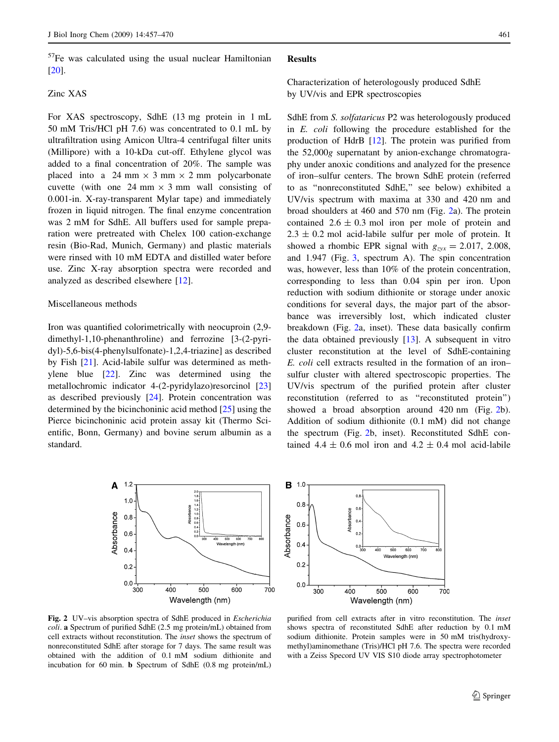### $57$ Fe was calculated using the usual nuclear Hamiltonian [\[20](#page-12-0)].

### Zinc XAS

For XAS spectroscopy, SdhE (13 mg protein in 1 mL 50 mM Tris/HCl pH 7.6) was concentrated to 0.1 mL by ultrafiltration using Amicon Ultra-4 centrifugal filter units (Millipore) with a 10-kDa cut-off. Ethylene glycol was added to a final concentration of 20%. The sample was placed into a 24 mm  $\times$  3 mm  $\times$  2 mm polycarbonate cuvette (with one 24 mm  $\times$  3 mm wall consisting of 0.001-in. X-ray-transparent Mylar tape) and immediately frozen in liquid nitrogen. The final enzyme concentration was 2 mM for SdhE. All buffers used for sample preparation were pretreated with Chelex 100 cation-exchange resin (Bio-Rad, Munich, Germany) and plastic materials were rinsed with 10 mM EDTA and distilled water before use. Zinc X-ray absorption spectra were recorded and analyzed as described elsewhere [\[12](#page-12-0)].

### Miscellaneous methods

Iron was quantified colorimetrically with neocuproin (2,9 dimethyl-1,10-phenanthroline) and ferrozine [3-(2-pyridyl)-5,6-bis(4-phenylsulfonate)-1,2,4-triazine] as described by Fish [\[21](#page-12-0)]. Acid-labile sulfur was determined as methylene blue [\[22\]](#page-12-0). Zinc was determined using the metallochromic indicator 4-(2-pyridylazo)resorcinol [[23\]](#page-12-0) as described previously [[24\]](#page-12-0). Protein concentration was determined by the bicinchoninic acid method [\[25](#page-12-0)] using the Pierce bicinchoninic acid protein assay kit (Thermo Scientific, Bonn, Germany) and bovine serum albumin as a standard.



Fig. 2 UV–vis absorption spectra of SdhE produced in Escherichia coli. a Spectrum of purified SdhE (2.5 mg protein/mL) obtained from cell extracts without reconstitution. The inset shows the spectrum of nonreconstituted SdhE after storage for 7 days. The same result was obtained with the addition of 0.1 mM sodium dithionite and incubation for 60 min. b Spectrum of SdhE (0.8 mg protein/mL)

#### Results

### Characterization of heterologously produced SdhE by UV/vis and EPR spectroscopies

SdhE from S. solfataricus P2 was heterologously produced in E. coli following the procedure established for the production of HdrB [\[12](#page-12-0)]. The protein was purified from the 52,000g supernatant by anion-exchange chromatography under anoxic conditions and analyzed for the presence of iron–sulfur centers. The brown SdhE protein (referred to as ''nonreconstituted SdhE,'' see below) exhibited a UV/vis spectrum with maxima at 330 and 420 nm and broad shoulders at 460 and 570 nm (Fig. 2a). The protein contained  $2.6 \pm 0.3$  mol iron per mole of protein and  $2.3 \pm 0.2$  mol acid-labile sulfur per mole of protein. It showed a rhombic EPR signal with  $g_{\text{zvx}} = 2.017, 2.008$ , and 1.947 (Fig. [3](#page-5-0), spectrum A). The spin concentration was, however, less than 10% of the protein concentration, corresponding to less than 0.04 spin per iron. Upon reduction with sodium dithionite or storage under anoxic conditions for several days, the major part of the absorbance was irreversibly lost, which indicated cluster breakdown (Fig. 2a, inset). These data basically confirm the data obtained previously [[13\]](#page-12-0). A subsequent in vitro cluster reconstitution at the level of SdhE-containing E. coli cell extracts resulted in the formation of an iron– sulfur cluster with altered spectroscopic properties. The UV/vis spectrum of the purified protein after cluster reconstitution (referred to as ''reconstituted protein'') showed a broad absorption around 420 nm (Fig. 2b). Addition of sodium dithionite (0.1 mM) did not change the spectrum (Fig. 2b, inset). Reconstituted SdhE contained 4.4  $\pm$  0.6 mol iron and 4.2  $\pm$  0.4 mol acid-labile



purified from cell extracts after in vitro reconstitution. The inset shows spectra of reconstituted SdhE after reduction by 0.1 mM sodium dithionite. Protein samples were in 50 mM tris(hydroxymethyl)aminomethane (Tris)/HCl pH 7.6. The spectra were recorded with a Zeiss Specord UV VIS S10 diode array spectrophotometer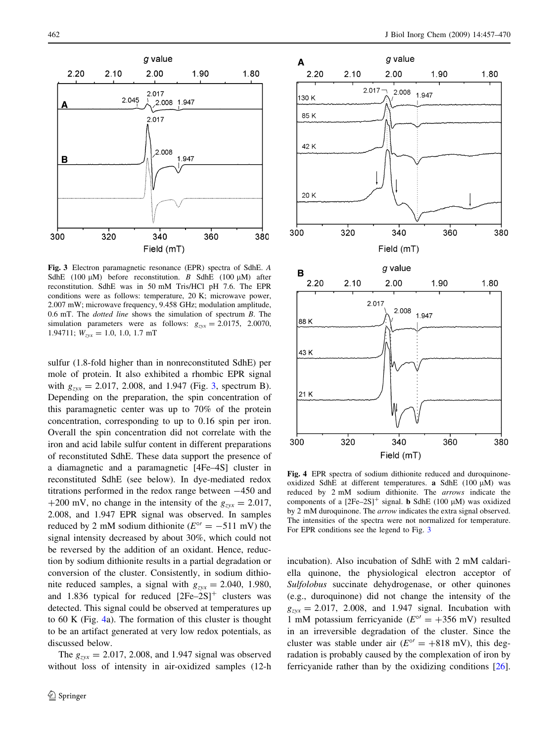<span id="page-5-0"></span>

Fig. 3 Electron paramagnetic resonance (EPR) spectra of SdhE. A SdhE (100  $\mu$ M) before reconstitution. B SdhE (100  $\mu$ M) after reconstitution. SdhE was in 50 mM Tris/HCl pH 7.6. The EPR conditions were as follows: temperature, 20 K; microwave power, 2.007 mW; microwave frequency, 9.458 GHz; modulation amplitude, 0.6 mT. The dotted line shows the simulation of spectrum B. The simulation parameters were as follows:  $g_{zyx} = 2.0175$ , 2.0070, 1.94711;  $W_{\text{zvx}} = 1.0, 1.0, 1.7 \text{ mT}$ 

sulfur (1.8-fold higher than in nonreconstituted SdhE) per mole of protein. It also exhibited a rhombic EPR signal with  $g_{zyx} = 2.017, 2.008,$  and 1.947 (Fig. 3, spectrum B). Depending on the preparation, the spin concentration of this paramagnetic center was up to 70% of the protein concentration, corresponding to up to 0.16 spin per iron. Overall the spin concentration did not correlate with the iron and acid labile sulfur content in different preparations of reconstituted SdhE. These data support the presence of a diamagnetic and a paramagnetic [4Fe–4S] cluster in reconstituted SdhE (see below). In dye-mediated redox titrations performed in the redox range between  $-450$  and +200 mV, no change in the intensity of the  $g_{zvx} = 2.017$ , 2.008, and 1.947 EPR signal was observed. In samples reduced by 2 mM sodium dithionite ( $E^{\circ}$  = -511 mV) the signal intensity decreased by about 30%, which could not be reversed by the addition of an oxidant. Hence, reduction by sodium dithionite results in a partial degradation or conversion of the cluster. Consistently, in sodium dithionite reduced samples, a signal with  $g_{zxx} = 2.040, 1.980,$ and 1.836 typical for reduced  $[2Fe-2S]^+$  clusters was detected. This signal could be observed at temperatures up to 60 K (Fig. 4a). The formation of this cluster is thought to be an artifact generated at very low redox potentials, as discussed below.

The  $g_{zyx} = 2.017, 2.008,$  and 1.947 signal was observed without loss of intensity in air-oxidized samples (12-h



Fig. 4 EPR spectra of sodium dithionite reduced and duroquinoneoxidized SdhE at different temperatures. a SdhE (100  $\mu$ M) was reduced by 2 mM sodium dithionite. The arrows indicate the components of a  $[2Fe-2S]^+$  signal. **b** SdhE (100  $\mu$ M) was oxidized by 2 mM duroquinone. The arrow indicates the extra signal observed. The intensities of the spectra were not normalized for temperature. For EPR conditions see the legend to Fig. 3

incubation). Also incubation of SdhE with 2 mM caldariella quinone, the physiological electron acceptor of Sulfolobus succinate dehydrogenase, or other quinones (e.g., duroquinone) did not change the intensity of the  $g_{zyx} = 2.017$ , 2.008, and 1.947 signal. Incubation with 1 mM potassium ferricyanide ( $E^{\circ}$  = +356 mV) resulted in an irreversible degradation of the cluster. Since the cluster was stable under air  $(E^{\circ'} = +818 \text{ mV})$ , this degradation is probably caused by the complexation of iron by ferricyanide rather than by the oxidizing conditions [\[26](#page-12-0)].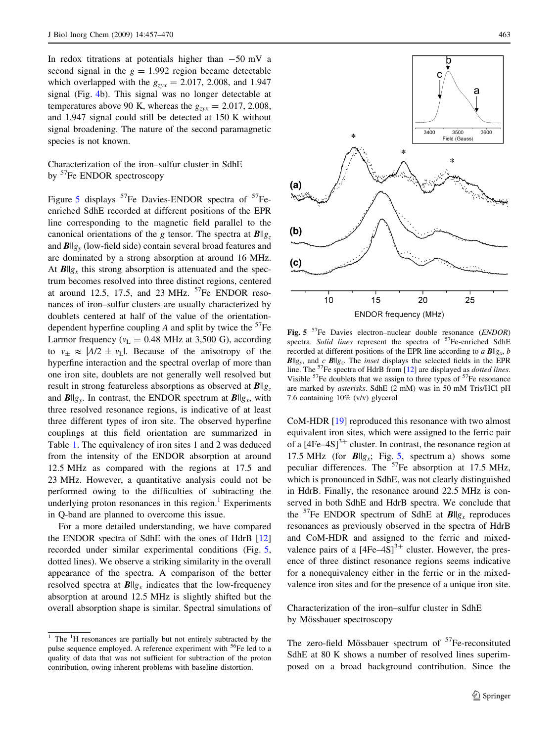<span id="page-6-0"></span>In redox titrations at potentials higher than  $-50$  mV a second signal in the  $g = 1.992$  region became detectable which overlapped with the  $g_{zvx} = 2.017, 2.008,$  and 1.947 signal (Fig. [4b](#page-5-0)). This signal was no longer detectable at temperatures above 90 K, whereas the  $g_{zxx} = 2.017, 2.008$ , and 1.947 signal could still be detected at 150 K without signal broadening. The nature of the second paramagnetic species is not known.

Characterization of the iron–sulfur cluster in SdhE by <sup>57</sup>Fe ENDOR spectroscopy

Figure 5 displays  $57$ Fe Davies-ENDOR spectra of  $57$ Feenriched SdhE recorded at different positions of the EPR line corresponding to the magnetic field parallel to the canonical orientations of the g tensor. The spectra at  $B||g_z$ and  $B\|g_{y}$  (low-field side) contain several broad features and are dominated by a strong absorption at around 16 MHz. At  $B\|g_x$  this strong absorption is attenuated and the spectrum becomes resolved into three distinct regions, centered at around 12.5, 17.5, and 23 MHz.  $57$ Fe ENDOR resonances of iron–sulfur clusters are usually characterized by doublets centered at half of the value of the orientationdependent hyperfine coupling A and split by twice the  $57Fe$ Larmor frequency ( $v_L = 0.48$  MHz at 3,500 G), according to  $v_{\pm} \approx |A/2 \pm v_L|$ . Because of the anisotropy of the hyperfine interaction and the spectral overlap of more than one iron site, doublets are not generally well resolved but result in strong featureless absorptions as observed at  $B||g_z$ and  $B||g_y$ . In contrast, the ENDOR spectrum at  $B||g_x$ , with three resolved resonance regions, is indicative of at least three different types of iron site. The observed hyperfine couplings at this field orientation are summarized in Table [1](#page-7-0). The equivalency of iron sites 1 and 2 was deduced from the intensity of the ENDOR absorption at around 12.5 MHz as compared with the regions at 17.5 and 23 MHz. However, a quantitative analysis could not be performed owing to the difficulties of subtracting the underlying proton resonances in this region. $<sup>1</sup>$  Experiments</sup> in Q-band are planned to overcome this issue.

For a more detailed understanding, we have compared the ENDOR spectra of SdhE with the ones of HdrB [[12\]](#page-12-0) recorded under similar experimental conditions (Fig. 5, dotted lines). We observe a striking similarity in the overall appearance of the spectra. A comparison of the better resolved spectra at  $B\|g_x$  indicates that the low-frequency absorption at around 12.5 MHz is slightly shifted but the overall absorption shape is similar. Spectral simulations of



Fig. 5  $^{57}$ Fe Davies electron–nuclear double resonance (*ENDOR*) spectra. Solid lines represent the spectra of  $57$ Fe-enriched SdhE recorded at different positions of the EPR line according to a  $B||g_x, b$  $B\|g_{y}$ , and c  $B\|g_{z}$ . The *inset* displays the selected fields in the EPR line. The  $57$ Fe spectra of HdrB from [\[12\]](#page-12-0) are displayed as *dotted lines*. Visible  $57$ Fe doublets that we assign to three types of  $57$ Fe resonance are marked by asterisks. SdhE (2 mM) was in 50 mM Tris/HCl pH 7.6 containing 10% (v/v) glycerol

CoM-HDR [[19\]](#page-12-0) reproduced this resonance with two almost equivalent iron sites, which were assigned to the ferric pair of a  $[4Fe-4S]$ <sup>3+</sup> cluster. In contrast, the resonance region at 17.5 MHz (for  $B\|g_x$ ; Fig. 5, spectrum a) shows some peculiar differences. The  ${}^{57}Fe$  absorption at 17.5 MHz, which is pronounced in SdhE, was not clearly distinguished in HdrB. Finally, the resonance around 22.5 MHz is conserved in both SdhE and HdrB spectra. We conclude that the <sup>57</sup>Fe ENDOR spectrum of SdhE at  $B\|g_x$  reproduces resonances as previously observed in the spectra of HdrB and CoM-HDR and assigned to the ferric and mixedvalence pairs of a  $[4Fe-4S]$ <sup>3+</sup> cluster. However, the presence of three distinct resonance regions seems indicative for a nonequivalency either in the ferric or in the mixedvalence iron sites and for the presence of a unique iron site.

Characterization of the iron–sulfur cluster in SdhE by Mössbauer spectroscopy

The zero-field Mössbauer spectrum of  $57$ Fe-reconsituted SdhE at 80 K shows a number of resolved lines superimposed on a broad background contribution. Since the

<sup>&</sup>lt;sup>1</sup> The <sup>1</sup>H resonances are partially but not entirely subtracted by the pulse sequence employed. A reference experiment with <sup>56</sup>Fe led to a quality of data that was not sufficient for subtraction of the proton contribution, owing inherent problems with baseline distortion.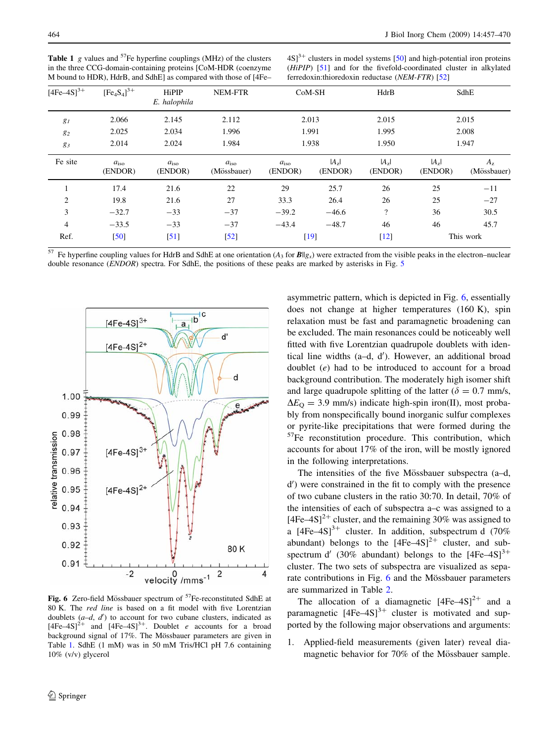| $[4Fe-4S]^{3+}$ | $[Fe_4S_4]^{3+}$         | HiPIP<br>E. halophila    | NEM-FTR                      |                          | CoM-SH             | HdrB               | SdhE                 |                            |  |
|-----------------|--------------------------|--------------------------|------------------------------|--------------------------|--------------------|--------------------|----------------------|----------------------------|--|
| $g_I$           | 2.066                    | 2.145                    | 2.112                        |                          | 2.013              | 2.015              |                      | 2.015                      |  |
| $g_2$           | 2.025                    | 2.034                    | 1.996                        | 1.991                    |                    | 1.995              | 2.008                |                            |  |
| 83              | 2.014                    | 2.024                    | 1.984                        | 1.938                    |                    | 1.950              | 1.947                |                            |  |
| Fe site         | $a_{\rm iso}$<br>(ENDOR) | $a_{\rm iso}$<br>(ENDOR) | $a_{\rm iso}$<br>(Mössbauer) | $a_{\rm iso}$<br>(ENDOR) | $ A_z $<br>(ENDOR) | $ A_z $<br>(ENDOR) | $ A_{7} $<br>(ENDOR) | $A_{\rm z}$<br>(Mössbauer) |  |
|                 | 17.4                     | 21.6                     | 22                           | 29                       | 25.7               | 26                 | 25                   | $-11$                      |  |
| $\overline{2}$  | 19.8                     | 21.6                     | 27                           | 33.3                     | 26.4               | 26                 | 25                   | $-27$                      |  |
| 3               | $-32.7$                  | $-33$                    | $-37$                        | $-39.2$                  | $-46.6$            | $\gamma$           | 36                   | 30.5                       |  |
| $\overline{4}$  | $-33.5$                  | $-33$                    | $-37$                        | $-43.4$                  | $-48.7$            | 46                 | 46                   | 45.7                       |  |
| Ref.            | [50]                     | $\lceil 51 \rceil$       | $\left[52\right]$            | $[19]$                   |                    | $\lceil 12 \rceil$ | This work            |                            |  |

<span id="page-7-0"></span>**Table 1** g values and  $57$ Fe hyperfine couplings (MHz) of the clusters in the three CCG-domain-containing proteins [CoM-HDR (coenzyme M bound to HDR), HdrB, and SdhE] as compared with those of [4Fe–

 $4S$ <sup>3+</sup> clusters in model systems [[50](#page-13-0)] and high-potential iron proteins (HiPIP) [[51](#page-13-0)] and for the fivefold-coordinated cluster in alkylated ferredoxin:thioredoxin reductase (NEM-FTR) [[52](#page-13-0)]

Fe hyperfine coupling values for HdrB and SdhE at one orientation ( $A_3$  for  $B||g_x$ ) were extracted from the visible peaks in the electron–nuclear double resonance (ENDOR) spectra. For SdhE, the positions of these peaks are marked by asterisks in Fig. [5](#page-6-0)



Fig. 6 Zero-field Mössbauer spectrum of  $57$ Fe-reconstituted SdhE at 80 K. The red line is based on a fit model with five Lorentzian doublets  $(a-d, d')$  to account for two cubane clusters, indicated as  $[4Fe-4S]^2$ <sup>+</sup> and  $[4Fe-4S]^3$ <sup>+</sup>. Doublet *e* accounts for a broad background signal of 17%. The Mössbauer parameters are given in Table 1. SdhE (1 mM) was in 50 mM Tris/HCl pH 7.6 containing 10% (v/v) glycerol

asymmetric pattern, which is depicted in Fig. 6, essentially does not change at higher temperatures (160 K), spin relaxation must be fast and paramagnetic broadening can be excluded. The main resonances could be noticeably well fitted with five Lorentzian quadrupole doublets with identical line widths (a-d, d'). However, an additional broad doublet (e) had to be introduced to account for a broad background contribution. The moderately high isomer shift and large quadrupole splitting of the latter ( $\delta = 0.7$  mm/s,  $\Delta E_{\rm O} = 3.9$  mm/s) indicate high-spin iron(II), most probably from nonspecifically bound inorganic sulfur complexes or pyrite-like precipitations that were formed during the 57Fe reconstitution procedure. This contribution, which accounts for about 17% of the iron, will be mostly ignored in the following interpretations.

The intensities of the five Mössbauer subspectra (a–d, d') were constrained in the fit to comply with the presence of two cubane clusters in the ratio 30:70. In detail, 70% of the intensities of each of subspectra a–c was assigned to a  $[4Fe-4S]^2$ <sup>+</sup> cluster, and the remaining 30% was assigned to a  $[4Fe-4S]^3$ <sup>+</sup> cluster. In addition, subspectrum d (70%) abundant) belongs to the  $[4Fe-4S]<sup>2+</sup>$  cluster, and subspectrum d' (30% abundant) belongs to the  $[4Fe-4S]^{3+}$ cluster. The two sets of subspectra are visualized as separate contributions in Fig. 6 and the Mössbauer parameters are summarized in Table [2](#page-8-0).

The allocation of a diamagnetic  $[4Fe-4S]^{2+}$  and a paramagnetic  $[4Fe-4S]^{3+}$  cluster is motivated and supported by the following major observations and arguments:

1. Applied-field measurements (given later) reveal diamagnetic behavior for 70% of the Mössbauer sample.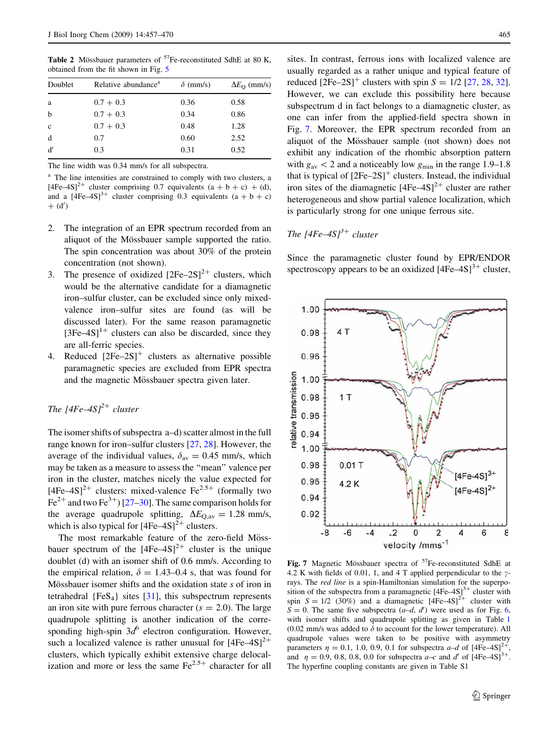<span id="page-8-0"></span>Table 2 Mössbauer parameters of  $57$ Fe-reconstituted SdhE at 80 K, obtained from the fit shown in Fig. [5](#page-6-0)

| Doublet      | Relative abundance <sup>a</sup> | $\delta$ (mm/s) | $\Delta E_{\rm O}$ (mm/s) |
|--------------|---------------------------------|-----------------|---------------------------|
| a            | $0.7 + 0.3$                     | 0.36            | 0.58                      |
| b            | $0.7 + 0.3$                     | 0.34            | 0.86                      |
| $\mathbf{c}$ | $0.7 + 0.3$                     | 0.48            | 1.28                      |
| d            | 0.7                             | 0.60            | 2.52                      |
| d'           | 0.3                             | 0.31            | 0.52                      |

The line width was 0.34 mm/s for all subspectra.

<sup>a</sup> The line intensities are constrained to comply with two clusters, a  $[4Fe-4S]^2$ <sup>+</sup> cluster comprising 0.7 equivalents  $(a + b + c) + (d)$ , and a  $[4Fe-4S]^{3+}$  cluster comprising 0.3 equivalents  $(a + b + c)$  $+$  (d')

- 2. The integration of an EPR spectrum recorded from an aliquot of the Mössbauer sample supported the ratio. The spin concentration was about 30% of the protein concentration (not shown).
- 3. The presence of oxidized  $[2Fe-2S]^2$ <sup>+</sup> clusters, which would be the alternative candidate for a diamagnetic iron–sulfur cluster, can be excluded since only mixedvalence iron–sulfur sites are found (as will be discussed later). For the same reason paramagnetic  $[3Fe-4S]$ <sup>1+</sup> clusters can also be discarded, since they are all-ferric species.
- 4. Reduced  $[2Fe-2S]^+$  clusters as alternative possible paramagnetic species are excluded from EPR spectra and the magnetic Mössbauer spectra given later.

# The  $[4Fe-4S]^2$ <sup>+</sup> cluster

The isomer shifts of subspectra a–d) scatter almost in the full range known for iron–sulfur clusters [\[27](#page-12-0), [28](#page-12-0)]. However, the average of the individual values,  $\delta_{av} = 0.45$  mm/s, which may be taken as a measure to assess the ''mean'' valence per iron in the cluster, matches nicely the value expected for [4Fe–4S]<sup>2+</sup> clusters: mixed-valence Fe<sup>2.5+</sup> (formally two  $Fe<sup>2+</sup>$  and two Fe<sup>3+</sup>) [\[27–30](#page-12-0)]. The same comparison holds for the average quadrupole splitting,  $\Delta E_{\text{Q,av}} = 1.28 \text{ mm/s}$ , which is also typical for  $[4Fe-4S]<sup>2+</sup>$  clusters.

The most remarkable feature of the zero-field Mössbauer spectrum of the  $[4Fe-4S]<sup>2+</sup>$  cluster is the unique doublet (d) with an isomer shift of 0.6 mm/s. According to the empirical relation,  $\delta = 1.43{\text -}0.4$  s, that was found for Mössbauer isomer shifts and the oxidation state s of iron in tetrahedral  ${FeS<sub>4</sub>}$  sites [[31\]](#page-12-0), this subspectrum represents an iron site with pure ferrous character  $(s = 2.0)$ . The large quadrupole splitting is another indication of the corresponding high-spin  $3d^6$  electron configuration. However, such a localized valence is rather unusual for  $[4Fe-4S]<sup>2+</sup>$ clusters, which typically exhibit extensive charge delocalization and more or less the same  $Fe^{2.5+}$  character for all

sites. In contrast, ferrous ions with localized valence are usually regarded as a rather unique and typical feature of reduced  $[2Fe-2S]^{+}$  clusters with spin  $S = 1/2$  [[27,](#page-12-0) [28](#page-12-0), [32](#page-12-0)]. However, we can exclude this possibility here because subspectrum d in fact belongs to a diamagnetic cluster, as one can infer from the applied-field spectra shown in Fig. 7. Moreover, the EPR spectrum recorded from an aliquot of the Mössbauer sample (not shown) does not exhibit any indication of the rhombic absorption pattern with  $g_{av}$  < 2 and a noticeably low  $g_{min}$  in the range 1.9–1.8 that is typical of  $[2Fe-2S]^+$  clusters. Instead, the individual iron sites of the diamagnetic  $[4Fe-4S]^2$ <sup>+</sup> cluster are rather heterogeneous and show partial valence localization, which is particularly strong for one unique ferrous site.

## The  $[4Fe-4S]^3$ <sup>+</sup> cluster

Since the paramagnetic cluster found by EPR/ENDOR spectroscopy appears to be an oxidized  $[4Fe-4S]^{3+}$  cluster,



Fig. 7 Magnetic Mössbauer spectra of <sup>57</sup>Fe-reconstituted SdhE at 4.2 K with fields of 0.01, 1, and 4 T applied perpendicular to the  $\gamma$ rays. The red line is a spin-Hamiltonian simulation for the superposition of the subspectra from a paramagnetic  $[4Fe-4S]$ <sup>3+</sup> cluster with spin  $S = 1/2$  (30%) and a diamagnetic  $[4Fe-4S]^2$ <sup>+</sup> cluster with  $S = 0$ . The same five subspectra  $(a-d, d')$  were used as for Fig. [6](#page-7-0), with isomer shifts and quadrupole splitting as given in Table [1](#page-7-0) (0.02 mm/s was added to  $\delta$  to account for the lower temperature). All quadrupole values were taken to be positive with asymmetry parameters  $\eta = 0.1$ , 1.0, 0.9, 0.1 for subspectra a–d of  $[4Fe-4S]^2$ and  $\eta = 0.9, 0.8, 0.8, 0.0$  for subspectra  $a-c$  and d' of  $[4Fe-4S]^{3+}$ .<br>The hyperfine coupling constant The hyperfine coupling constants are given in Table S1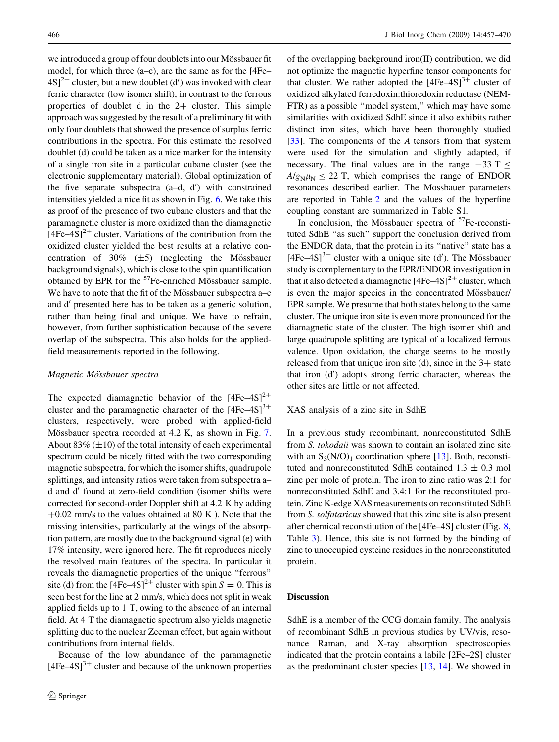we introduced a group of four doublets into our Mössbauer fit model, for which three (a–c), are the same as for the [4Fe–  $4S$ <sup>2+</sup> cluster, but a new doublet (d') was invoked with clear ferric character (low isomer shift), in contrast to the ferrous properties of doublet d in the  $2+$  cluster. This simple approach was suggested by the result of a preliminary fit with only four doublets that showed the presence of surplus ferric contributions in the spectra. For this estimate the resolved doublet (d) could be taken as a nice marker for the intensity of a single iron site in a particular cubane cluster (see the electronic supplementary material). Global optimization of the five separate subspectra  $(a-d, d')$  with constrained intensities yielded a nice fit as shown in Fig. [6.](#page-7-0) We take this as proof of the presence of two cubane clusters and that the paramagnetic cluster is more oxidized than the diamagnetic  $[4Fe-4S]<sup>2+</sup>$  cluster. Variations of the contribution from the oxidized cluster yielded the best results at a relative concentration of  $30\%$  ( $\pm 5$ ) (neglecting the Mössbauer background signals), which is close to the spin quantification obtained by EPR for the  $57$ Fe-enriched Mössbauer sample. We have to note that the fit of the Mössbauer subspectra a–c and d' presented here has to be taken as a generic solution, rather than being final and unique. We have to refrain, however, from further sophistication because of the severe overlap of the subspectra. This also holds for the appliedfield measurements reported in the following.

#### Magnetic Mössbauer spectra

The expected diamagnetic behavior of the  $[4Fe-4S]^{2+}$ cluster and the paramagnetic character of the  $[4Fe-4S]^{3+}$ clusters, respectively, were probed with applied-field Mössbauer spectra recorded at 4.2 K, as shown in Fig. [7.](#page-8-0) About  $83\%$  ( $\pm 10$ ) of the total intensity of each experimental spectrum could be nicely fitted with the two corresponding magnetic subspectra, for which the isomer shifts, quadrupole splittings, and intensity ratios were taken from subspectra a– d and d' found at zero-field condition (isomer shifts were corrected for second-order Doppler shift at 4.2 K by adding  $+0.02$  mm/s to the values obtained at 80 K). Note that the missing intensities, particularly at the wings of the absorption pattern, are mostly due to the background signal (e) with 17% intensity, were ignored here. The fit reproduces nicely the resolved main features of the spectra. In particular it reveals the diamagnetic properties of the unique ''ferrous'' site (d) from the  $[4Fe-4S]<sup>2+</sup>$  cluster with spin  $S = 0$ . This is seen best for the line at 2 mm/s, which does not split in weak applied fields up to 1 T, owing to the absence of an internal field. At 4 T the diamagnetic spectrum also yields magnetic splitting due to the nuclear Zeeman effect, but again without contributions from internal fields.

Because of the low abundance of the paramagnetic  $[4Fe-4S]$ <sup>3+</sup> cluster and because of the unknown properties of the overlapping background iron(II) contribution, we did not optimize the magnetic hyperfine tensor components for that cluster. We rather adopted the  $[4Fe-4S]<sup>3+</sup>$  cluster of oxidized alkylated ferredoxin:thioredoxin reductase (NEM-FTR) as a possible ''model system,'' which may have some similarities with oxidized SdhE since it also exhibits rather distinct iron sites, which have been thoroughly studied [\[33](#page-12-0)]. The components of the  $A$  tensors from that system were used for the simulation and slightly adapted, if necessary. The final values are in the range  $-33$  T  $\le$  $A/g_N\mu_N < 22$  T, which comprises the range of ENDOR resonances described earlier. The Mössbauer parameters are reported in Table [2](#page-8-0) and the values of the hyperfine coupling constant are summarized in Table S1.

In conclusion, the Mössbauer spectra of  ${}^{57}Fe$ -reconstituted SdhE ''as such'' support the conclusion derived from the ENDOR data, that the protein in its ''native'' state has a  $[4Fe-4S]$ <sup>3+</sup> cluster with a unique site (d'). The Mössbauer study is complementary to the EPR/ENDOR investigation in that it also detected a diamagnetic  $[4Fe-4S]^2$ <sup>+</sup> cluster, which is even the major species in the concentrated Mössbauer/ EPR sample. We presume that both states belong to the same cluster. The unique iron site is even more pronounced for the diamagnetic state of the cluster. The high isomer shift and large quadrupole splitting are typical of a localized ferrous valence. Upon oxidation, the charge seems to be mostly released from that unique iron site (d), since in the  $3+$  state that iron (d') adopts strong ferric character, whereas the other sites are little or not affected.

XAS analysis of a zinc site in SdhE

In a previous study recombinant, nonreconstituted SdhE from S. tokodaii was shown to contain an isolated zinc site with an  $S_3(N/O)_1$  coordination sphere [\[13](#page-12-0)]. Both, reconstituted and nonreconstituted SdhE contained  $1.3 \pm 0.3$  mol zinc per mole of protein. The iron to zinc ratio was 2:1 for nonreconstituted SdhE and 3.4:1 for the reconstituted protein. Zinc K-edge XAS measurements on reconstituted SdhE from S. solfataricus showed that this zinc site is also present after chemical reconstitution of the [4Fe–4S] cluster (Fig. [8,](#page-10-0) Table [3](#page-10-0)). Hence, this site is not formed by the binding of zinc to unoccupied cysteine residues in the nonreconstituted protein.

### Discussion

SdhE is a member of the CCG domain family. The analysis of recombinant SdhE in previous studies by UV/vis, resonance Raman, and X-ray absorption spectroscopies indicated that the protein contains a labile [2Fe–2S] cluster as the predominant cluster species [[13,](#page-12-0) [14](#page-12-0)]. We showed in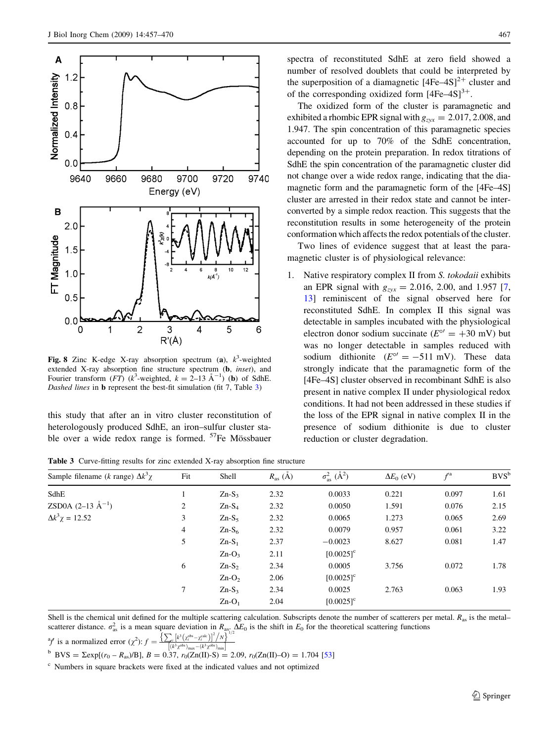<span id="page-10-0"></span>

Fig. 8 Zinc K-edge X-ray absorption spectrum (a),  $k^3$ -weighted extended X-ray absorption fine structure spectrum (b, inset), and Fourier transform  $(FT)$  ( $k^3$ -weighted,  $k = 2$ –13 Å<sup>–1</sup>) (**b**) of SdhE. Dashed lines in **b** represent the best-fit simulation (fit 7, Table 3)

this study that after an in vitro cluster reconstitution of heterologously produced SdhE, an iron–sulfur cluster stable over a wide redox range is formed.  $57Fe$  Mössbauer spectra of reconstituted SdhE at zero field showed a number of resolved doublets that could be interpreted by the superposition of a diamagnetic  $[4Fe-4S]^2$ <sup>+</sup> cluster and of the corresponding oxidized form  $[4Fe-4S]^{3+}$ .

The oxidized form of the cluster is paramagnetic and exhibited a rhombic EPR signal with  $g_{zxx} = 2.017, 2.008$ , and 1.947. The spin concentration of this paramagnetic species accounted for up to 70% of the SdhE concentration, depending on the protein preparation. In redox titrations of SdhE the spin concentration of the paramagnetic cluster did not change over a wide redox range, indicating that the diamagnetic form and the paramagnetic form of the [4Fe–4S] cluster are arrested in their redox state and cannot be interconverted by a simple redox reaction. This suggests that the reconstitution results in some heterogeneity of the protein conformation which affects the redox potentials of the cluster.

Two lines of evidence suggest that at least the paramagnetic cluster is of physiological relevance:

1. Native respiratory complex II from S. tokodaii exhibits an EPR signal with  $g_{zyx} = 2.016, 2.00,$  and 1.957 [[7,](#page-12-0) [13\]](#page-12-0) reminiscent of the signal observed here for reconstituted SdhE. In complex II this signal was detectable in samples incubated with the physiological electron donor sodium succinate ( $E^{\circ}$  = +30 mV) but was no longer detectable in samples reduced with sodium dithionite ( $E^{\circ} = -511$  mV). These data strongly indicate that the paramagnetic form of the [4Fe–4S] cluster observed in recombinant SdhE is also present in native complex II under physiological redox conditions. It had not been addressed in these studies if the loss of the EPR signal in native complex II in the presence of sodium dithionite is due to cluster reduction or cluster degradation.

Table 3 Curve-fitting results for zinc extended X-ray absorption fine structure

| Sample filename (k range) $\Delta k^3 \gamma$ | Fit            | Shell    | $R_{\rm as}$ (A) | $\sigma_{\text{as}}^2$ ( $\AA^2$ ) | $\Delta E_0$ (eV) | $f^{\rm a}$ | $BVS^b$ |
|-----------------------------------------------|----------------|----------|------------------|------------------------------------|-------------------|-------------|---------|
| SdhE                                          |                | $Zn-S3$  | 2.32             | 0.0033                             | 0.221             | 0.097       | 1.61    |
| <b>ZSD0A</b> $(2-13 \text{ Å}^{-1})$          | 2              | $Zn-S_4$ | 2.32             | 0.0050                             | 1.591             | 0.076       | 2.15    |
| $\Delta k^3 \chi = 12.52$                     | 3              | $Zn-S5$  | 2.32             | 0.0065                             | 1.273             | 0.065       | 2.69    |
|                                               | $\overline{4}$ | $Zn-S6$  | 2.32             | 0.0079                             | 0.957             | 0.061       | 3.22    |
|                                               | 5              | $Zn-S_1$ | 2.37             | $-0.0023$                          | 8.627             | 0.081       | 1.47    |
|                                               |                | $Zn-O_3$ | 2.11             | $[0.0025]$ <sup>c</sup>            |                   |             |         |
|                                               | 6              | $Zn-S2$  | 2.34             | 0.0005                             | 3.756             | 0.072       | 1.78    |
|                                               |                | $Zn-O2$  | 2.06             | $[0.0025]$ <sup>c</sup>            |                   |             |         |
|                                               | $7^{\circ}$    | $Zn-S3$  | 2.34             | 0.0025                             | 2.763             | 0.063       | 1.93    |
|                                               |                | $Zn-O_1$ | 2.04             | $[0.0025]$ <sup>c</sup>            |                   |             |         |

Shell is the chemical unit defined for the multiple scattering calculation. Subscripts denote the number of scatterers per metal.  $R_{as}$  is the metalscatterer distance.  $\sigma_{as}^2$  is a mean square deviation in  $R_{as}$ .  $\Delta E_0$  is the shift in  $E_0$  for the theoretical scattering functions  $\sigma_{s,d}^2$  is a pormalized organ  $\left(\frac{2}{2}, \frac{e}{2}\right) \left(\frac{k^3 (z_0^{abs} - z_0^{sub})^2}{k^3} \right$ 

<sup>a</sup>f is a normalized error 
$$
(\chi^2)
$$
:  $f = \frac{\sum_i |k^3(x_0^{\text{obs}} - x_1^{\text{calc}})|^2/N}{[(k^3 \chi^{\text{obs}}) - (k^3 \chi^{\text{obs}})]}$ .

b BVS =  $\sum \exp[(r_0 - R_{as})/B]$ ,  $B = 0.37$ ,  $r_0(Zn(II)-S) = 2.09$ ,  $r_0(Zn(II)-O) = 1.704$  [\[53\]](#page-13-0)

<sup>c</sup> Numbers in square brackets were fixed at the indicated values and not optimized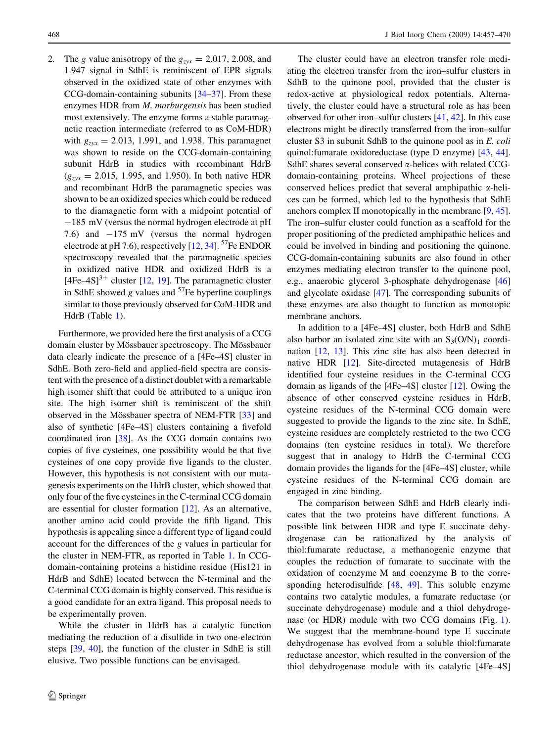2. The g value anisotropy of the  $g_{zxx} = 2.017, 2.008,$  and 1.947 signal in SdhE is reminiscent of EPR signals observed in the oxidized state of other enzymes with CCG-domain-containing subunits [\[34–37](#page-12-0)]. From these enzymes HDR from M. marburgensis has been studied most extensively. The enzyme forms a stable paramagnetic reaction intermediate (referred to as CoM-HDR) with  $g_{zyx} = 2.013$ , 1.991, and 1.938. This paramagnet was shown to reside on the CCG-domain-containing subunit HdrB in studies with recombinant HdrB  $(g_{\text{avx}} = 2.015, 1.995, \text{ and } 1.950)$ . In both native HDR and recombinant HdrB the paramagnetic species was shown to be an oxidized species which could be reduced to the diamagnetic form with a midpoint potential of  $-185$  mV (versus the normal hydrogen electrode at pH 7.6) and  $-175$  mV (versus the normal hydrogen electrode at pH 7.6), respectively  $[12, 34]$  $[12, 34]$  $[12, 34]$  $[12, 34]$ . <sup>57</sup>Fe ENDOR spectroscopy revealed that the paramagnetic species in oxidized native HDR and oxidized HdrB is a  $[4Fe-4S]$ <sup>3+</sup> cluster [[12,](#page-12-0) [19](#page-12-0)]. The paramagnetic cluster in SdhE showed g values and  $57$ Fe hyperfine couplings similar to those previously observed for CoM-HDR and HdrB (Table [1\)](#page-7-0).

Furthermore, we provided here the first analysis of a CCG domain cluster by Mössbauer spectroscopy. The Mössbauer data clearly indicate the presence of a [4Fe–4S] cluster in SdhE. Both zero-field and applied-field spectra are consistent with the presence of a distinct doublet with a remarkable high isomer shift that could be attributed to a unique iron site. The high isomer shift is reminiscent of the shift observed in the Mössbauer spectra of NEM-FTR [\[33](#page-12-0)] and also of synthetic [4Fe–4S] clusters containing a fivefold coordinated iron [\[38](#page-12-0)]. As the CCG domain contains two copies of five cysteines, one possibility would be that five cysteines of one copy provide five ligands to the cluster. However, this hypothesis is not consistent with our mutagenesis experiments on the HdrB cluster, which showed that only four of the five cysteines in the C-terminal CCG domain are essential for cluster formation [\[12](#page-12-0)]. As an alternative, another amino acid could provide the fifth ligand. This hypothesis is appealing since a different type of ligand could account for the differences of the g values in particular for the cluster in NEM-FTR, as reported in Table [1.](#page-7-0) In CCGdomain-containing proteins a histidine residue (His121 in HdrB and SdhE) located between the N-terminal and the C-terminal CCG domain is highly conserved. This residue is a good candidate for an extra ligand. This proposal needs to be experimentally proven.

While the cluster in HdrB has a catalytic function mediating the reduction of a disulfide in two one-electron steps [\[39](#page-12-0), [40](#page-12-0)], the function of the cluster in SdhE is still elusive. Two possible functions can be envisaged.

The cluster could have an electron transfer role mediating the electron transfer from the iron–sulfur clusters in SdhB to the quinone pool, provided that the cluster is redox-active at physiological redox potentials. Alternatively, the cluster could have a structural role as has been observed for other iron–sulfur clusters [[41,](#page-12-0) [42\]](#page-12-0). In this case electrons might be directly transferred from the iron–sulfur cluster S3 in subunit SdhB to the quinone pool as in E. coli quinol:fumarate oxidoreductase (type D enzyme) [[43,](#page-12-0) [44](#page-12-0)]. SdhE shares several conserved  $\alpha$ -helices with related CCGdomain-containing proteins. Wheel projections of these conserved helices predict that several amphipathic  $\alpha$ -helices can be formed, which led to the hypothesis that SdhE anchors complex II monotopically in the membrane [[9,](#page-12-0) [45](#page-12-0)]. The iron–sulfur cluster could function as a scaffold for the proper positioning of the predicted amphipathic helices and could be involved in binding and positioning the quinone. CCG-domain-containing subunits are also found in other enzymes mediating electron transfer to the quinone pool, e.g., anaerobic glycerol 3-phosphate dehydrogenase [[46\]](#page-12-0) and glycolate oxidase [\[47](#page-12-0)]. The corresponding subunits of these enzymes are also thought to function as monotopic membrane anchors.

In addition to a [4Fe–4S] cluster, both HdrB and SdhE also harbor an isolated zinc site with an  $S_3(O/N)_1$  coordination [[12,](#page-12-0) [13\]](#page-12-0). This zinc site has also been detected in native HDR [\[12](#page-12-0)]. Site-directed mutagenesis of HdrB identified four cysteine residues in the C-terminal CCG domain as ligands of the [4Fe–4S] cluster [[12\]](#page-12-0). Owing the absence of other conserved cysteine residues in HdrB, cysteine residues of the N-terminal CCG domain were suggested to provide the ligands to the zinc site. In SdhE, cysteine residues are completely restricted to the two CCG domains (ten cysteine residues in total). We therefore suggest that in analogy to HdrB the C-terminal CCG domain provides the ligands for the [4Fe–4S] cluster, while cysteine residues of the N-terminal CCG domain are engaged in zinc binding.

The comparison between SdhE and HdrB clearly indicates that the two proteins have different functions. A possible link between HDR and type E succinate dehydrogenase can be rationalized by the analysis of thiol:fumarate reductase, a methanogenic enzyme that couples the reduction of fumarate to succinate with the oxidation of coenzyme M and coenzyme B to the corresponding heterodisulfide [\[48](#page-12-0), [49](#page-13-0)]. This soluble enzyme contains two catalytic modules, a fumarate reductase (or succinate dehydrogenase) module and a thiol dehydrogenase (or HDR) module with two CCG domains (Fig. [1](#page-1-0)). We suggest that the membrane-bound type E succinate dehydrogenase has evolved from a soluble thiol:fumarate reductase ancestor, which resulted in the conversion of the thiol dehydrogenase module with its catalytic [4Fe–4S]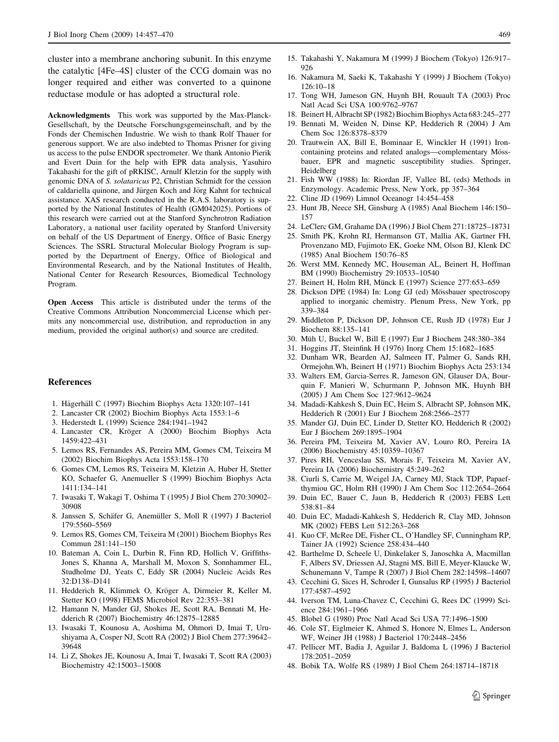<span id="page-12-0"></span>cluster into a membrane anchoring subunit. In this enzyme the catalytic [4Fe–4S] cluster of the CCG domain was no longer required and either was converted to a quinone reductase module or has adopted a structural role.

Acknowledgments This work was supported by the Max-Planck-Gesellschaft, by the Deutsche Forschungsgemeinschaft, and by the Fonds der Chemischen Industrie. We wish to thank Rolf Thauer for generous support. We are also indebted to Thomas Prisner for giving us access to the pulse ENDOR spectrometer. We thank Antonio Pierik and Evert Duin for the help with EPR data analysis, Yasuhiro Takahashi for the gift of pRKISC, Arnulf Kletzin for the supply with genomic DNA of S. solataricus P2, Christian Schmidt for the cession of caldariella quinone, and Jürgen Koch and Jörg Kahnt for technical assistance. XAS research conducted in the R.A.S. laboratory is supported by the National Institutes of Health (GM042025). Portions of this research were carried out at the Stanford Synchrotron Radiation Laboratory, a national user facility operated by Stanford University on behalf of the US Department of Energy, Office of Basic Energy Sciences. The SSRL Structural Molecular Biology Program is supported by the Department of Energy, Office of Biological and Environmental Research, and by the National Institutes of Health, National Center for Research Resources, Biomedical Technology Program.

Open Access This article is distributed under the terms of the Creative Commons Attribution Noncommercial License which permits any noncommercial use, distribution, and reproduction in any medium, provided the original author(s) and source are credited.

#### References

- 1. Hägerhäll C (1997) Biochim Biophys Acta 1320:107-141
- 2. Lancaster CR (2002) Biochim Biophys Acta 1553:1–6
- 3. Hederstedt L (1999) Science 284:1941–1942
- 4. Lancaster CR, Kröger A (2000) Biochim Biophys Acta 1459:422–431
- 5. Lemos RS, Fernandes AS, Pereira MM, Gomes CM, Teixeira M (2002) Biochim Biophys Acta 1553:158–170
- 6. Gomes CM, Lemos RS, Teixeira M, Kletzin A, Huber H, Stetter KO, Schaefer G, Anemueller S (1999) Biochim Biophys Acta 1411:134–141
- 7. Iwasaki T, Wakagi T, Oshima T (1995) J Biol Chem 270:30902– 30908
- 8. Janssen S, Schäfer G, Anemüller S, Moll R (1997) J Bacteriol 179:5560–5569
- 9. Lemos RS, Gomes CM, Teixeira M (2001) Biochem Biophys Res Commun 281:141–150
- 10. Bateman A, Coin L, Durbin R, Finn RD, Hollich V, Griffiths-Jones S, Khanna A, Marshall M, Moxon S, Sonnhammer EL, Studholme DJ, Yeats C, Eddy SR (2004) Nucleic Acids Res 32:D138–D141
- 11. Hedderich R, Klimmek O, Kröger A, Dirmeier R, Keller M, Stetter KO (1998) FEMS Microbiol Rev 22:353–381
- 12. Hamann N, Mander GJ, Shokes JE, Scott RA, Bennati M, Hedderich R (2007) Biochemistry 46:12875–12885
- 13. Iwasaki T, Kounosu A, Aoshima M, Ohmori D, Imai T, Urushiyama A, Cosper NJ, Scott RA (2002) J Biol Chem 277:39642– 39648
- 14. Li Z, Shokes JE, Kounosu A, Imai T, Iwasaki T, Scott RA (2003) Biochemistry 42:15003–15008
- 15. Takahashi Y, Nakamura M (1999) J Biochem (Tokyo) 126:917– 926
- 16. Nakamura M, Saeki K, Takahashi Y (1999) J Biochem (Tokyo) 126:10–18
- 17. Tong WH, Jameson GN, Huynh BH, Rouault TA (2003) Proc Natl Acad Sci USA 100:9762–9767
- 18. Beinert H, Albracht SP (1982) Biochim Biophys Acta 683:245–277
- 19. Bennati M, Weiden N, Dinse KP, Hedderich R (2004) J Am Chem Soc 126:8378–8379
- 20. Trautwein AX, Bill E, Bominaar E, Winckler H (1991) Ironcontaining proteins and related analogs—complementary Mössbauer, EPR and magnetic susceptibility studies. Springer, Heidelberg
- 21. Fish WW (1988) In: Riordan JF, Vallee BL (eds) Methods in Enzymology. Academic Press, New York, pp 357–364
- 22. Cline JD (1969) Limnol Oceanogr 14:454–458
- 23. Hunt JB, Neece SH, Ginsburg A (1985) Anal Biochem 146:150– 157
- 24. LeClerc GM, Grahame DA (1996) J Biol Chem 271:18725–18731
- 25. Smith PK, Krohn RI, Hermanson GT, Mallia AK, Gartner FH, Provenzano MD, Fujimoto EK, Goeke NM, Olson BJ, Klenk DC (1985) Anal Biochem 150:76–85
- 26. Werst MM, Kennedy MC, Houseman AL, Beinert H, Hoffman BM (1990) Biochemistry 29:10533–10540
- 27. Beinert H, Holm RH, Münck E (1997) Science 277:653-659
- 28. Dickson DPE (1984) In: Long GJ (ed) Mössbauer spectroscopy applied to inorganic chemistry. Plenum Press, New York, pp 339–384
- 29. Middleton P, Dickson DP, Johnson CE, Rush JD (1978) Eur J Biochem 88:135–141
- 30. Müh U, Buckel W, Bill E (1997) Eur J Biochem 248:380-384
- 31. Hoggins JT, Steinfink H (1976) Inorg Chem 15:1682–1685
- 32. Dunham WR, Bearden AJ, Salmeen IT, Palmer G, Sands RH, Ormejohn.Wh, Beinert H (1971) Biochim Biophys Acta 253:134
- 33. Walters EM, Garcia-Serres R, Jameson GN, Glauser DA, Bourquin F, Manieri W, Schurmann P, Johnson MK, Huynh BH (2005) J Am Chem Soc 127:9612–9624
- 34. Madadi-Kahkesh S, Duin EC, Heim S, Albracht SP, Johnson MK, Hedderich R (2001) Eur J Biochem 268:2566–2577
- 35. Mander GJ, Duin EC, Linder D, Stetter KO, Hedderich R (2002) Eur J Biochem 269:1895–1904
- 36. Pereira PM, Teixeira M, Xavier AV, Louro RO, Pereira IA (2006) Biochemistry 45:10359–10367
- 37. Pires RH, Venceslau SS, Morais F, Teixeira M, Xavier AV, Pereira IA (2006) Biochemistry 45:249–262
- 38. Ciurli S, Carrie M, Weigel JA, Carney MJ, Stack TDP, Papaefthymiou GC, Holm RH (1990) J Am Chem Soc 112:2654–2664
- 39. Duin EC, Bauer C, Jaun B, Hedderich R (2003) FEBS Lett 538:81–84
- 40. Duin EC, Madadi-Kahkesh S, Hedderich R, Clay MD, Johnson MK (2002) FEBS Lett 512:263–268
- 41. Kuo CF, McRee DE, Fisher CL, O'Handley SF, Cunningham RP, Tainer JA (1992) Science 258:434–440
- 42. Barthelme D, Scheele U, Dinkelaker S, Janoschka A, Macmillan F, Albers SV, Driessen AJ, Stagni MS, Bill E, Meyer-Klaucke W, Schunemann V, Tampe R (2007) J Biol Chem 282:14598–14607
- 43. Cecchini G, Sices H, Schroder I, Gunsalus RP (1995) J Bacteriol 177:4587–4592
- 44. Iverson TM, Luna-Chavez C, Cecchini G, Rees DC (1999) Science 284:1961–1966
- 45. Blobel G (1980) Proc Natl Acad Sci USA 77:1496–1500
- 46. Cole ST, Eiglmeier K, Ahmed S, Honore N, Elmes L, Anderson WF, Weiner JH (1988) J Bacteriol 170:2448–2456
- 47. Pellicer MT, Badia J, Aguilar J, Baldoma L (1996) J Bacteriol 178:2051–2059
- 48. Bobik TA, Wolfe RS (1989) J Biol Chem 264:18714–18718